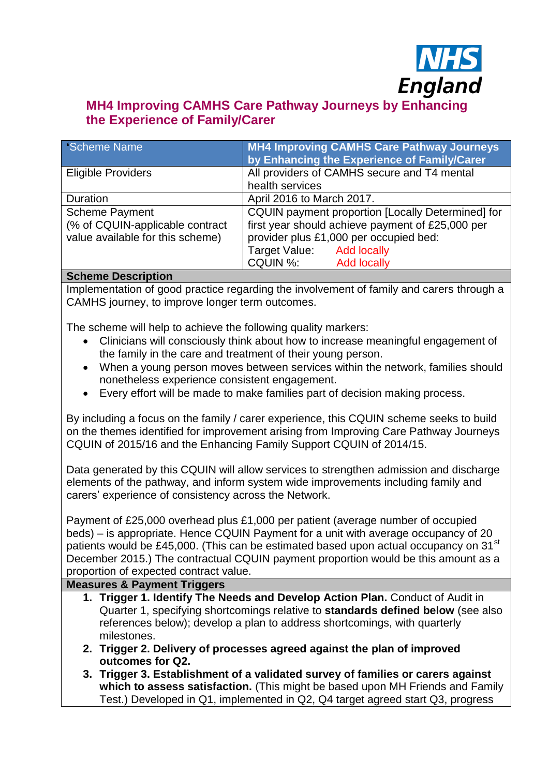

# **MH4 Improving CAMHS Care Pathway Journeys by Enhancing the Experience of Family/Carer**

| Scheme Name                                                                                                          | <b>MH4 Improving CAMHS Care Pathway Journeys</b><br>by Enhancing the Experience of Family/Carer                                                                                                                |  |
|----------------------------------------------------------------------------------------------------------------------|----------------------------------------------------------------------------------------------------------------------------------------------------------------------------------------------------------------|--|
| <b>Eligible Providers</b>                                                                                            | All providers of CAMHS secure and T4 mental<br>health services                                                                                                                                                 |  |
| Duration                                                                                                             | April 2016 to March 2017.                                                                                                                                                                                      |  |
| <b>Scheme Payment</b><br>(% of CQUIN-applicable contract<br>value available for this scheme)<br>Onlinear Departments | CQUIN payment proportion [Locally Determined] for<br>first year should achieve payment of £25,000 per<br>provider plus £1,000 per occupied bed:<br>Target Value: Add locally<br>CQUIN %:<br><b>Add locally</b> |  |

# **Scheme Description**

Implementation of good practice regarding the involvement of family and carers through a CAMHS journey, to improve longer term outcomes.

The scheme will help to achieve the following quality markers:

- Clinicians will consciously think about how to increase meaningful engagement of the family in the care and treatment of their young person.
- When a young person moves between services within the network, families should nonetheless experience consistent engagement.
- Every effort will be made to make families part of decision making process.

By including a focus on the family / carer experience, this CQUIN scheme seeks to build on the themes identified for improvement arising from Improving Care Pathway Journeys CQUIN of 2015/16 and the Enhancing Family Support CQUIN of 2014/15.

Data generated by this CQUIN will allow services to strengthen admission and discharge elements of the pathway, and inform system wide improvements including family and carers' experience of consistency across the Network.

Payment of £25,000 overhead plus £1,000 per patient (average number of occupied beds) – is appropriate. Hence CQUIN Payment for a unit with average occupancy of 20 patients would be £45,000. (This can be estimated based upon actual occupancy on 31<sup>st</sup> December 2015.) The contractual CQUIN payment proportion would be this amount as a proportion of expected contract value.

## **Measures & Payment Triggers**

- **1. Trigger 1. Identify The Needs and Develop Action Plan.** Conduct of Audit in Quarter 1, specifying shortcomings relative to **standards defined below** (see also references below); develop a plan to address shortcomings, with quarterly milestones.
- **2. Trigger 2. Delivery of processes agreed against the plan of improved outcomes for Q2.**
- **3. Trigger 3. Establishment of a validated survey of families or carers against which to assess satisfaction.** (This might be based upon MH Friends and Family Test.) Developed in Q1, implemented in Q2, Q4 target agreed start Q3, progress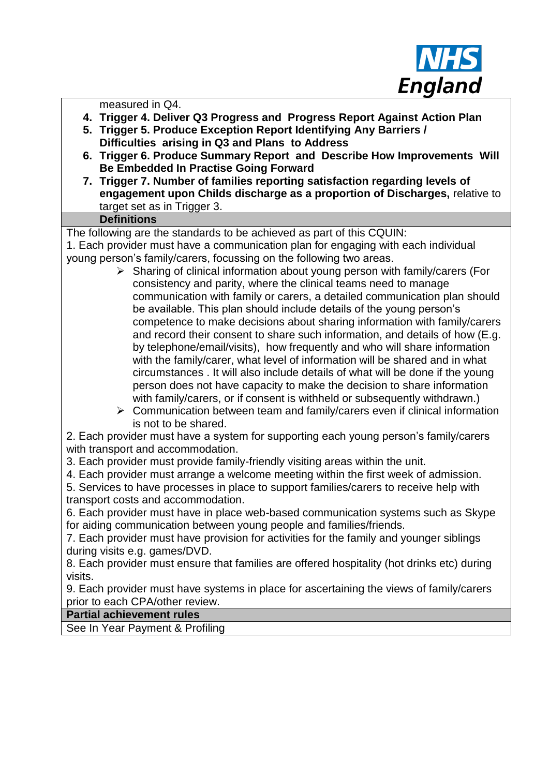

measured in Q4.

- **4. Trigger 4. Deliver Q3 Progress and Progress Report Against Action Plan**
- **5. Trigger 5. Produce Exception Report Identifying Any Barriers / Difficulties arising in Q3 and Plans to Address**
- **6. Trigger 6. Produce Summary Report and Describe How Improvements Will Be Embedded In Practise Going Forward**
- **7. Trigger 7. Number of families reporting satisfaction regarding levels of engagement upon Childs discharge as a proportion of Discharges,** relative to target set as in Trigger 3.

#### **Definitions**

The following are the standards to be achieved as part of this CQUIN:

1. Each provider must have a communication plan for engaging with each individual young person's family/carers, focussing on the following two areas.

- $\triangleright$  Sharing of clinical information about young person with family/carers (For consistency and parity, where the clinical teams need to manage communication with family or carers, a detailed communication plan should be available. This plan should include details of the young person's competence to make decisions about sharing information with family/carers and record their consent to share such information, and details of how (E.g. by telephone/email/visits), how frequently and who will share information with the family/carer, what level of information will be shared and in what circumstances . It will also include details of what will be done if the young person does not have capacity to make the decision to share information with family/carers, or if consent is withheld or subsequently withdrawn.)
- $\triangleright$  Communication between team and family/carers even if clinical information is not to be shared.

2. Each provider must have a system for supporting each young person's family/carers with transport and accommodation.

3. Each provider must provide family-friendly visiting areas within the unit.

4. Each provider must arrange a welcome meeting within the first week of admission.

5. Services to have processes in place to support families/carers to receive help with transport costs and accommodation.

6. Each provider must have in place web-based communication systems such as Skype for aiding communication between young people and families/friends.

7. Each provider must have provision for activities for the family and younger siblings during visits e.g. games/DVD.

8. Each provider must ensure that families are offered hospitality (hot drinks etc) during visits.

9. Each provider must have systems in place for ascertaining the views of family/carers prior to each CPA/other review.

#### **Partial achievement rules**

See In Year Payment & Profiling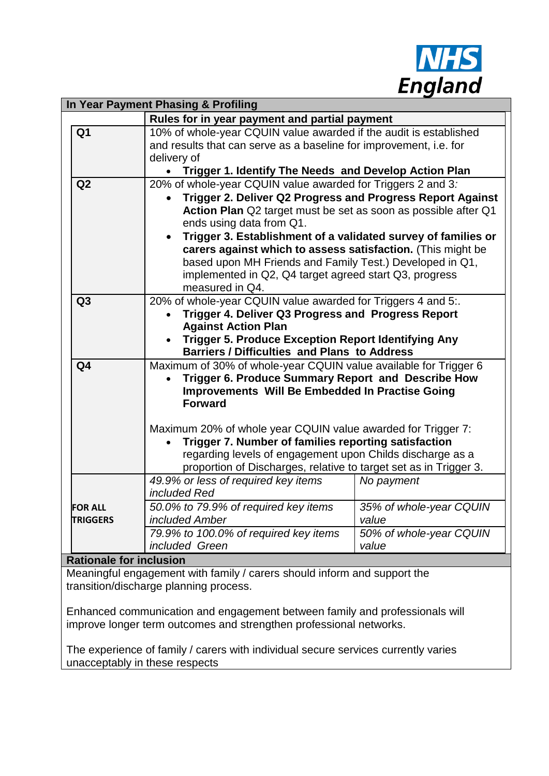

| In Year Payment Phasing & Profiling                                         |                                                                                                                         |                         |  |
|-----------------------------------------------------------------------------|-------------------------------------------------------------------------------------------------------------------------|-------------------------|--|
|                                                                             | Rules for in year payment and partial payment                                                                           |                         |  |
| Q <sub>1</sub>                                                              | 10% of whole-year CQUIN value awarded if the audit is established                                                       |                         |  |
|                                                                             | and results that can serve as a baseline for improvement, i.e. for                                                      |                         |  |
|                                                                             | delivery of                                                                                                             |                         |  |
|                                                                             | Trigger 1. Identify The Needs and Develop Action Plan                                                                   |                         |  |
| Q2                                                                          | 20% of whole-year CQUIN value awarded for Triggers 2 and 3:                                                             |                         |  |
|                                                                             | Trigger 2. Deliver Q2 Progress and Progress Report Against                                                              |                         |  |
|                                                                             | Action Plan Q2 target must be set as soon as possible after Q1                                                          |                         |  |
|                                                                             | ends using data from Q1.                                                                                                |                         |  |
|                                                                             | Trigger 3. Establishment of a validated survey of families or                                                           |                         |  |
|                                                                             | carers against which to assess satisfaction. (This might be<br>based upon MH Friends and Family Test.) Developed in Q1, |                         |  |
|                                                                             | implemented in Q2, Q4 target agreed start Q3, progress                                                                  |                         |  |
|                                                                             | measured in Q4.                                                                                                         |                         |  |
| Q <sub>3</sub>                                                              | 20% of whole-year CQUIN value awarded for Triggers 4 and 5:.                                                            |                         |  |
|                                                                             | Trigger 4. Deliver Q3 Progress and Progress Report                                                                      |                         |  |
|                                                                             | <b>Against Action Plan</b>                                                                                              |                         |  |
|                                                                             | <b>Trigger 5. Produce Exception Report Identifying Any</b>                                                              |                         |  |
|                                                                             | <b>Barriers / Difficulties and Plans to Address</b>                                                                     |                         |  |
| Q <sub>4</sub>                                                              | Maximum of 30% of whole-year CQUIN value available for Trigger 6                                                        |                         |  |
|                                                                             | Trigger 6. Produce Summary Report and Describe How                                                                      |                         |  |
|                                                                             | <b>Improvements Will Be Embedded In Practise Going</b>                                                                  |                         |  |
|                                                                             | <b>Forward</b>                                                                                                          |                         |  |
|                                                                             |                                                                                                                         |                         |  |
|                                                                             | Maximum 20% of whole year CQUIN value awarded for Trigger 7:                                                            |                         |  |
|                                                                             | Trigger 7. Number of families reporting satisfaction<br>regarding levels of engagement upon Childs discharge as a       |                         |  |
|                                                                             |                                                                                                                         |                         |  |
|                                                                             | proportion of Discharges, relative to target set as in Trigger 3.<br>49.9% or less of required key items                |                         |  |
|                                                                             | included Red                                                                                                            | No payment              |  |
| <b>FOR ALL</b>                                                              | 50.0% to 79.9% of required key items                                                                                    | 35% of whole-year CQUIN |  |
| <b>TRIGGERS</b>                                                             | included Amber                                                                                                          | value                   |  |
|                                                                             | 79.9% to 100.0% of required key items                                                                                   | 50% of whole-year CQUIN |  |
|                                                                             | included Green                                                                                                          | value                   |  |
| <b>Rationale for inclusion</b>                                              |                                                                                                                         |                         |  |
| Meaningful engagement with family / carers should inform and support the    |                                                                                                                         |                         |  |
| transition/discharge planning process.                                      |                                                                                                                         |                         |  |
|                                                                             |                                                                                                                         |                         |  |
| Enhanced communication and engagement between family and professionals will |                                                                                                                         |                         |  |
| improve longer term outcomes and strengthen professional networks.          |                                                                                                                         |                         |  |

The experience of family / carers with individual secure services currently varies unacceptably in these respects